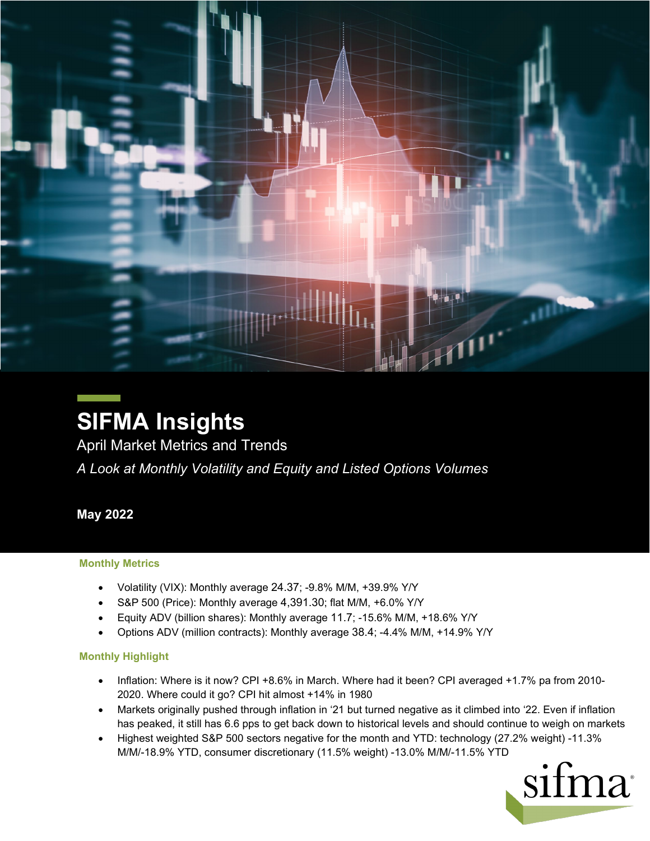

# **SIFMA Insights**

April Market Metrics and Trends

*A Look at Monthly Volatility and Equity and Listed Options Volumes*

**May 2022**

#### **Monthly Metrics**

- Volatility (VIX): Monthly average 24.37; -9.8% M/M, +39.9% Y/Y
- S&P 500 (Price): Monthly average 4,391.30; flat M/M, +6.0% Y/Y
- Equity ADV (billion shares): Monthly average 11.7; -15.6% M/M, +18.6% Y/Y
- Options ADV (million contracts): Monthly average 38.4; -4.4% M/M, +14.9% Y/Y

#### **Monthly Highlight**

- Inflation: Where is it now? CPI +8.6% in March. Where had it been? CPI averaged +1.7% pa from 2010- 2020. Where could it go? CPI hit almost +14% in 1980
- Markets originally pushed through inflation in '21 but turned negative as it climbed into '22. Even if inflation has peaked, it still has 6.6 pps to get back down to historical levels and should continue to weigh on markets
- Highest weighted S&P 500 sectors negative for the month and YTD: technology (27.2% weight) -11.3% M/M/-18.9% YTD, consumer discretionary (11.5% weight) -13.0% M/M/-11.5% YTD

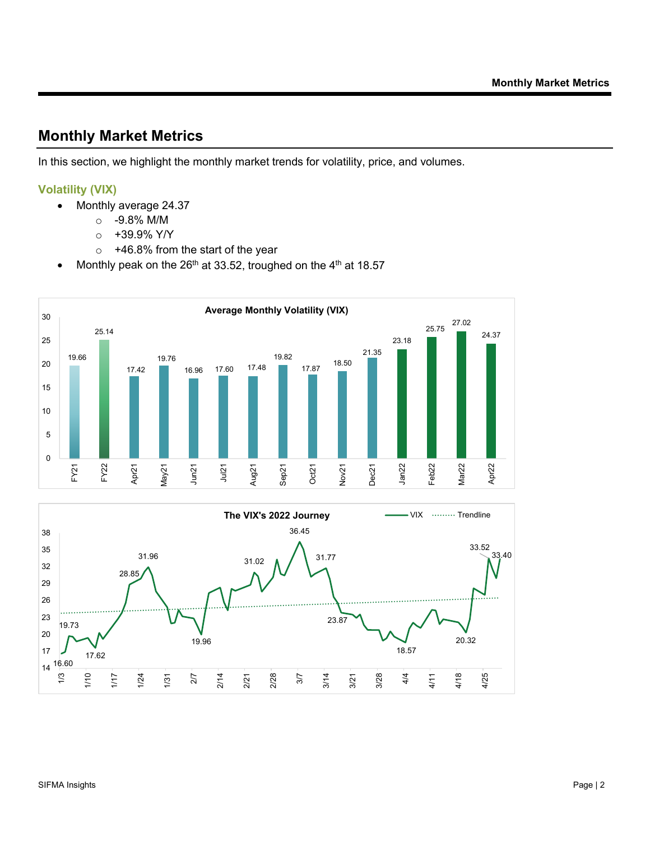## **Monthly Market Metrics**

In this section, we highlight the monthly market trends for volatility, price, and volumes.

#### **Volatility (VIX)**

- Monthly average 24.37
	- o -9.8% M/M
	- $\circ$  +39.9% Y/Y
	- $\circ$  +46.8% from the start of the year
- Monthly peak on the  $26<sup>th</sup>$  at 33.52, troughed on the  $4<sup>th</sup>$  at 18.57



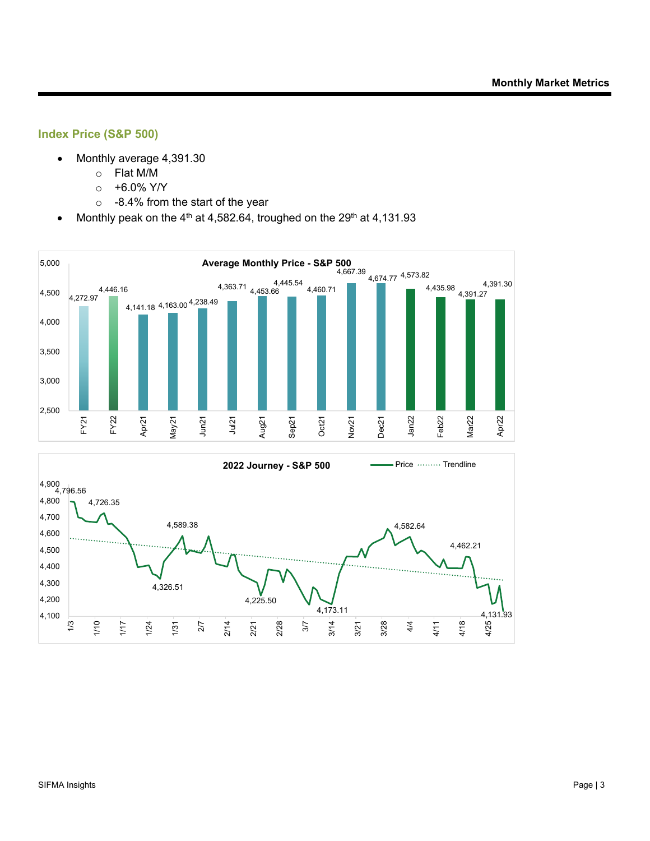#### **Index Price (S&P 500)**

- Monthly average 4,391.30
	- o Flat M/M
	- $\circ$  +6.0% Y/Y
	- o -8.4% from the start of the year
- Monthly peak on the  $4<sup>th</sup>$  at 4,582.64, troughed on the 29<sup>th</sup> at 4,131.93

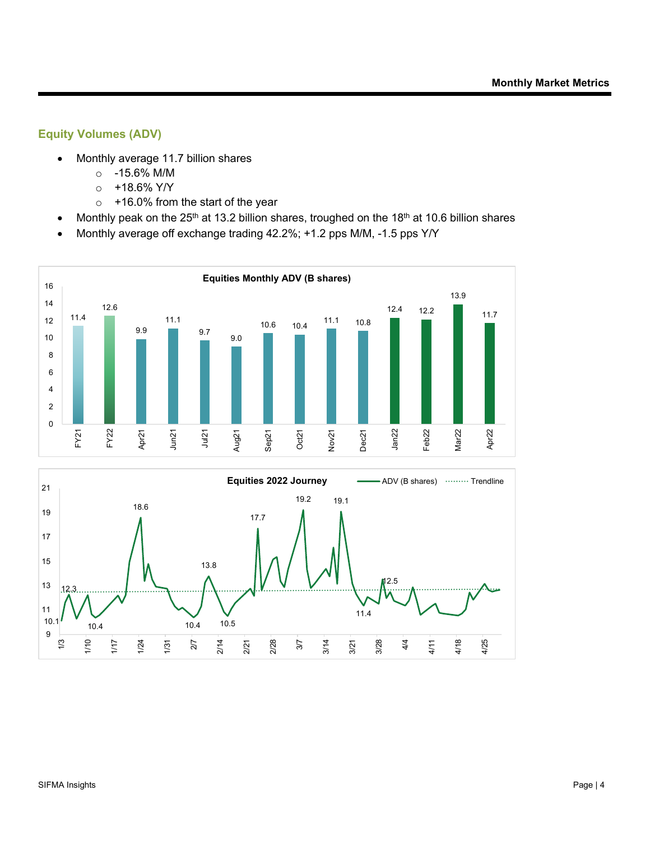### **Equity Volumes (ADV)**

- Monthly average 11.7 billion shares
	- o -15.6% M/M
	- o +18.6% Y/Y
	- o +16.0% from the start of the year
- Monthly peak on the  $25<sup>th</sup>$  at 13.2 billion shares, troughed on the 18<sup>th</sup> at 10.6 billion shares
- Monthly average off exchange trading 42.2%; +1.2 pps M/M, -1.5 pps Y/Y

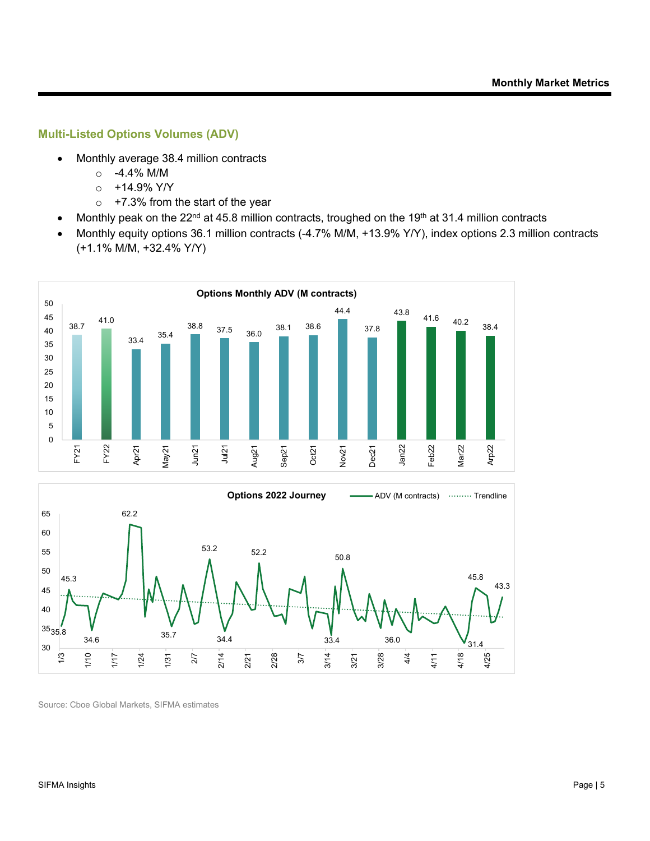#### **Multi-Listed Options Volumes (ADV)**

- Monthly average 38.4 million contracts
	- o -4.4% M/M
	- $o +14.9%$  Y/Y
	- $\circ$  +7.3% from the start of the year
- Monthly peak on the 22<sup>nd</sup> at 45.8 million contracts, troughed on the 19<sup>th</sup> at 31.4 million contracts
- Monthly equity options 36.1 million contracts (-4.7% M/M, +13.9% Y/Y), index options 2.3 million contracts (+1.1% M/M, +32.4% Y/Y)



Source: Cboe Global Markets, SIFMA estimates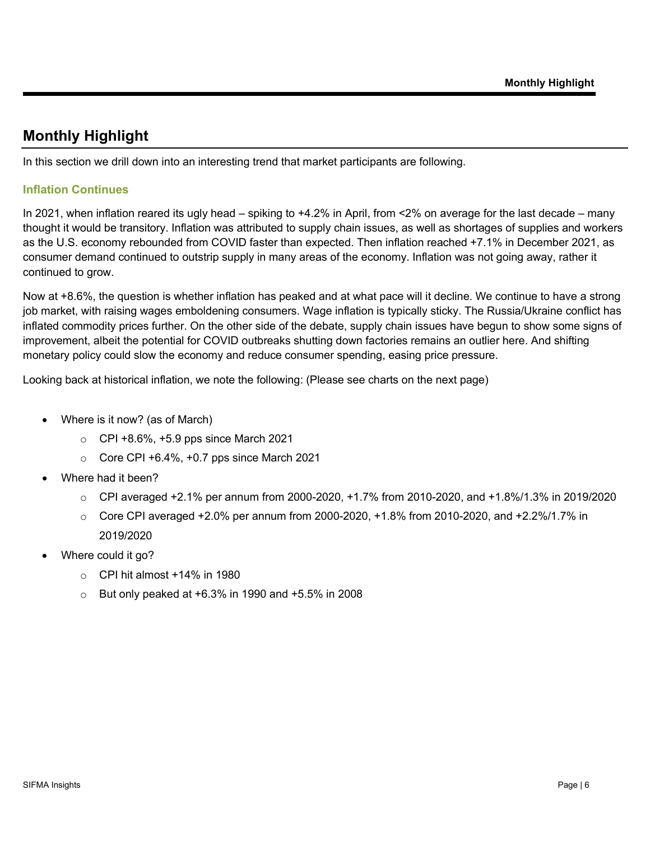# **Monthly Highlight**

In this section we drill down into an interesting trend that market participants are following.

#### **Inflation Continues**

In 2021, when inflation reared its ugly head – spiking to +4.2% in April, from <2% on average for the last decade – many thought it would be transitory. Inflation was attributed to supply chain issues, as well as shortages of supplies and workers as the U.S. economy rebounded from COVID faster than expected. Then inflation reached +7.1% in December 2021, as consumer demand continued to outstrip supply in many areas of the economy. Inflation was not going away, rather it continued to grow.

Now at +8.6%, the question is whether inflation has peaked and at what pace will it decline. We continue to have a strong job market, with raising wages emboldening consumers. Wage inflation is typically sticky. The Russia/Ukraine conflict has inflated commodity prices further. On the other side of the debate, supply chain issues have begun to show some signs of improvement, albeit the potential for COVID outbreaks shutting down factories remains an outlier here. And shifting monetary policy could slow the economy and reduce consumer spending, easing price pressure.

Looking back at historical inflation, we note the following: (Please see charts on the next page)

- Where is it now? (as of March)
	- o CPI +8.6%, +5.9 pps since March 2021
	- $\circ$  Core CPI +6.4%, +0.7 pps since March 2021
- Where had it been?
	- $\circ$  CPI averaged +2.1% per annum from 2000-2020, +1.7% from 2010-2020, and +1.8%/1.3% in 2019/2020
	- $\circ$  Core CPI averaged +2.0% per annum from 2000-2020, +1.8% from 2010-2020, and +2.2%/1.7% in 2019/2020
- Where could it go?
	- $\circ$  CPI hit almost +14% in 1980
	- $\circ$  But only peaked at +6.3% in 1990 and +5.5% in 2008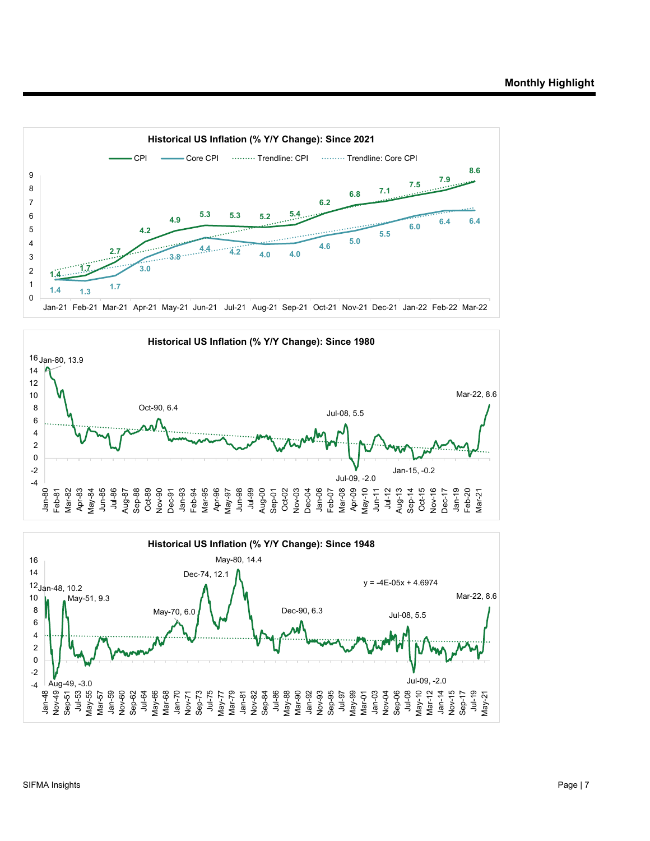



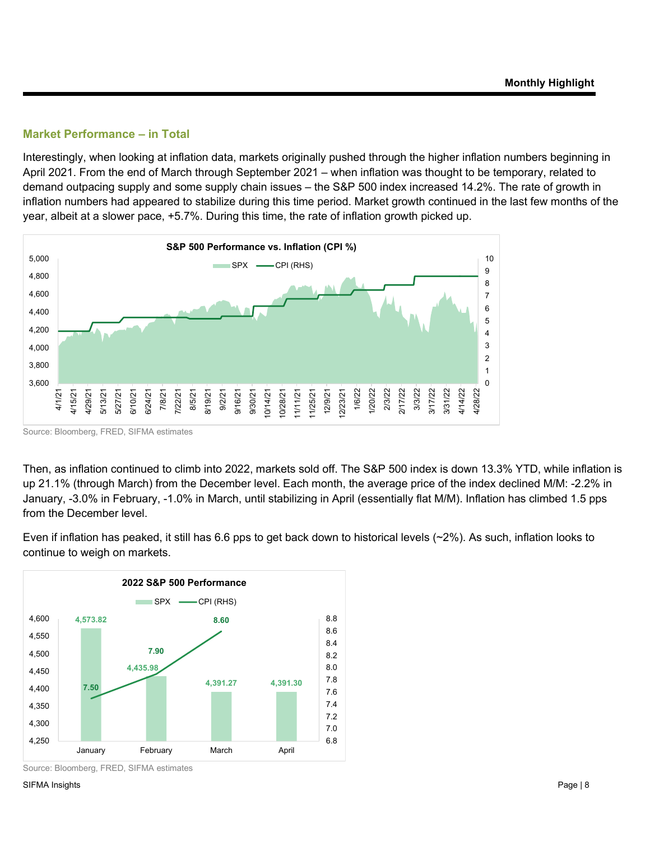#### **Market Performance – in Total**

Interestingly, when looking at inflation data, markets originally pushed through the higher inflation numbers beginning in April 2021. From the end of March through September 2021 – when inflation was thought to be temporary, related to demand outpacing supply and some supply chain issues – the S&P 500 index increased 14.2%. The rate of growth in inflation numbers had appeared to stabilize during this time period. Market growth continued in the last few months of the year, albeit at a slower pace, +5.7%. During this time, the rate of inflation growth picked up.



Source: Bloomberg, FRED, SIFMA estimates

Then, as inflation continued to climb into 2022, markets sold off. The S&P 500 index is down 13.3% YTD, while inflation is up 21.1% (through March) from the December level. Each month, the average price of the index declined M/M: -2.2% in January, -3.0% in February, -1.0% in March, until stabilizing in April (essentially flat M/M). Inflation has climbed 1.5 pps from the December level.

Even if inflation has peaked, it still has 6.6 pps to get back down to historical levels  $(\sim 2\%)$ . As such, inflation looks to continue to weigh on markets.



Source: Bloomberg, FRED, SIFMA estimates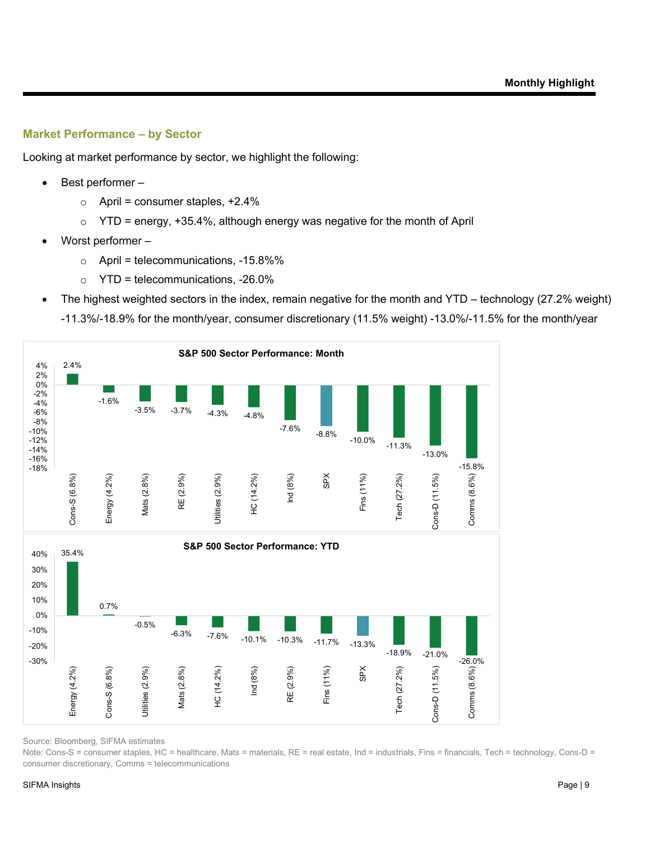#### **Market Performance – by Sector**

Looking at market performance by sector, we highlight the following:

- Best performer
	- $\circ$  April = consumer staples, +2.4%
	- $\circ$  YTD = energy, +35.4%, although energy was negative for the month of April
- Worst performer
	- $\circ$  April = telecommunications, -15.8%%
	- $\circ$  YTD = telecommunications, -26.0%
- The highest weighted sectors in the index, remain negative for the month and YTD technology (27.2% weight) -11.3%/-18.9% for the month/year, consumer discretionary (11.5% weight) -13.0%/-11.5% for the month/year



Source: Bloomberg, SIFMA estimates

Note: Cons-S = consumer staples, HC = healthcare, Mats = materials, RE = real estate, Ind = industrials, Fins = financials, Tech = technology, Cons-D = consumer discretionary, Comms = telecommunications

#### SIFMA Insights Page | 9